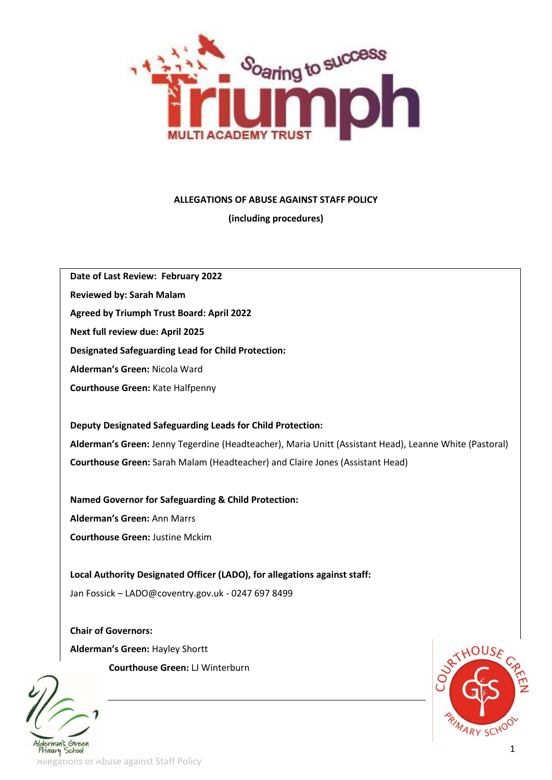

### **ALLEGATIONS OF ABUSE AGAINST STAFF POLICY**

**(including procedures)**

**Date of Last Review: February 2022**

**Reviewed by: Sarah Malam**

**Agreed by Triumph Trust Board: April 2022**

**Next full review due: April 2025**

**Designated Safeguarding Lead for Child Protection:**

**Alderman's Green:** Nicola Ward

**Courthouse Green:** Kate Halfpenny

**Deputy Designated Safeguarding Leads for Child Protection: Alderman's Green:** Jenny Tegerdine (Headteacher), Maria Unitt (Assistant Head), Leanne White (Pastoral) **Courthouse Green:** Sarah Malam (Headteacher) and Claire Jones (Assistant Head)

**Named Governor for Safeguarding & Child Protection: Alderman's Green:** Ann Marrs **Courthouse Green:** Justine Mckim

**Local Authority Designated Officer (LADO), for allegations against staff:**  Jan Fossick – LADO@coventry.gov.uk - 0247 697 8499

**Chair of Governors: Alderman's Green:** Hayley Shortt **Courthouse Green:** LJ Winterburn





Allegations of Abuse against Staff Policy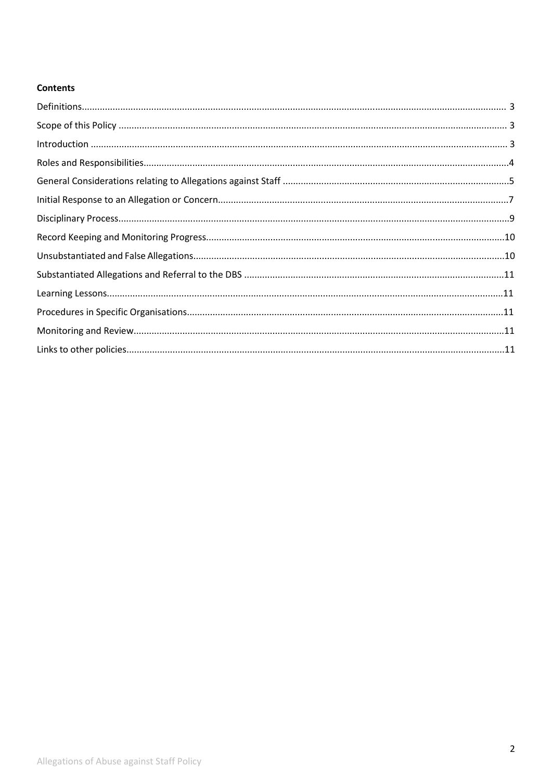# **Contents**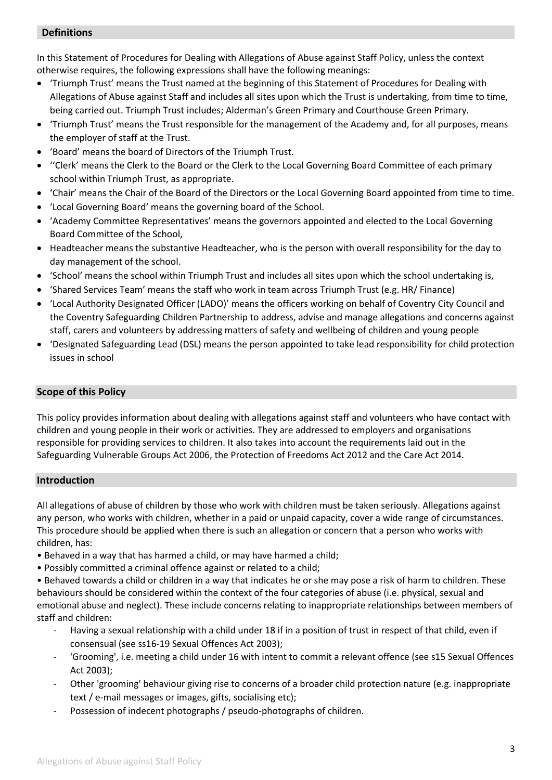## **Definitions**

In this Statement of Procedures for Dealing with Allegations of Abuse against Staff Policy, unless the context otherwise requires, the following expressions shall have the following meanings:

- 'Triumph Trust' means the Trust named at the beginning of this Statement of Procedures for Dealing with Allegations of Abuse against Staff and includes all sites upon which the Trust is undertaking, from time to time, being carried out. Triumph Trust includes; Alderman's Green Primary and Courthouse Green Primary.
- 'Triumph Trust' means the Trust responsible for the management of the Academy and, for all purposes, means the employer of staff at the Trust.
- 'Board' means the board of Directors of the Triumph Trust.
- ''Clerk' means the Clerk to the Board or the Clerk to the Local Governing Board Committee of each primary school within Triumph Trust, as appropriate.
- 'Chair' means the Chair of the Board of the Directors or the Local Governing Board appointed from time to time.
- 'Local Governing Board' means the governing board of the School.
- 'Academy Committee Representatives' means the governors appointed and elected to the Local Governing Board Committee of the School,
- Headteacher means the substantive Headteacher, who is the person with overall responsibility for the day to day management of the school.
- 'School' means the school within Triumph Trust and includes all sites upon which the school undertaking is,
- 'Shared Services Team' means the staff who work in team across Triumph Trust (e.g. HR/ Finance)
- 'Local Authority Designated Officer (LADO)' means the officers working on behalf of Coventry City Council and the Coventry Safeguarding Children Partnership to address, advise and manage allegations and concerns against staff, carers and volunteers by addressing matters of safety and wellbeing of children and young people
- 'Designated Safeguarding Lead (DSL) means the person appointed to take lead responsibility for child protection issues in school

## **Scope of this Policy**

This policy provides information about dealing with allegations against staff and volunteers who have contact with children and young people in their work or activities. They are addressed to employers and organisations responsible for providing services to children. It also takes into account the requirements laid out in the Safeguarding Vulnerable Groups Act 2006, the Protection of Freedoms Act 2012 and the Care Act 2014.

## **Introduction**

All allegations of abuse of children by those who work with children must be taken seriously. Allegations against any person, who works with children, whether in a paid or unpaid capacity, cover a wide range of circumstances. This procedure should be applied when there is such an allegation or concern that a person who works with children, has:

- Behaved in a way that has harmed a child, or may have harmed a child;
- Possibly committed a criminal offence against or related to a child;

• Behaved towards a child or children in a way that indicates he or she may pose a risk of harm to children. These behaviours should be considered within the context of the four categories of abuse (i.e. physical, sexual and emotional abuse and neglect). These include concerns relating to inappropriate relationships between members of staff and children:

- Having a sexual relationship with a child under 18 if in a position of trust in respect of that child, even if consensual (see ss16-19 Sexual Offences Act 2003);
- 'Grooming', i.e. meeting a child under 16 with intent to commit a relevant offence (see s15 Sexual Offences Act 2003);
- Other 'grooming' behaviour giving rise to concerns of a broader child protection nature (e.g. inappropriate text / e-mail messages or images, gifts, socialising etc);
- Possession of indecent photographs / pseudo-photographs of children.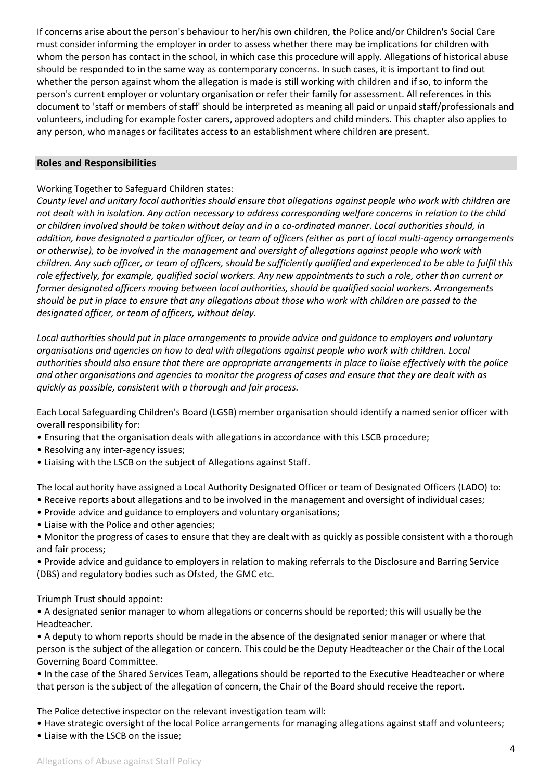If concerns arise about the person's behaviour to her/his own children, the Police and/or Children's Social Care must consider informing the employer in order to assess whether there may be implications for children with whom the person has contact in the school, in which case this procedure will apply. Allegations of historical abuse should be responded to in the same way as contemporary concerns. In such cases, it is important to find out whether the person against whom the allegation is made is still working with children and if so, to inform the person's current employer or voluntary organisation or refer their family for assessment. All references in this document to 'staff or members of staff' should be interpreted as meaning all paid or unpaid staff/professionals and volunteers, including for example foster carers, approved adopters and child minders. This chapter also applies to any person, who manages or facilitates access to an establishment where children are present.

## **Roles and Responsibilities**

Working Together to Safeguard Children states:

*County level and unitary local authorities should ensure that allegations against people who work with children are not dealt with in isolation. Any action necessary to address corresponding welfare concerns in relation to the child or children involved should be taken without delay and in a co-ordinated manner. Local authorities should, in addition, have designated a particular officer, or team of officers (either as part of local multi-agency arrangements or otherwise), to be involved in the management and oversight of allegations against people who work with children. Any such officer, or team of officers, should be sufficiently qualified and experienced to be able to fulfil this role effectively, for example, qualified social workers. Any new appointments to such a role, other than current or former designated officers moving between local authorities, should be qualified social workers. Arrangements should be put in place to ensure that any allegations about those who work with children are passed to the designated officer, or team of officers, without delay.*

*Local authorities should put in place arrangements to provide advice and guidance to employers and voluntary organisations and agencies on how to deal with allegations against people who work with children. Local authorities should also ensure that there are appropriate arrangements in place to liaise effectively with the police and other organisations and agencies to monitor the progress of cases and ensure that they are dealt with as quickly as possible, consistent with a thorough and fair process.* 

Each Local Safeguarding Children's Board (LGSB) member organisation should identify a named senior officer with overall responsibility for:

- Ensuring that the organisation deals with allegations in accordance with this LSCB procedure;
- Resolving any inter-agency issues;
- Liaising with the LSCB on the subject of Allegations against Staff.

The local authority have assigned a Local Authority Designated Officer or team of Designated Officers (LADO) to: • Receive reports about allegations and to be involved in the management and oversight of individual cases;

- Provide advice and guidance to employers and voluntary organisations;
- Liaise with the Police and other agencies;
- Monitor the progress of cases to ensure that they are dealt with as quickly as possible consistent with a thorough and fair process;

• Provide advice and guidance to employers in relation to making referrals to the Disclosure and Barring Service (DBS) and regulatory bodies such as Ofsted, the GMC etc.

Triumph Trust should appoint:

• A designated senior manager to whom allegations or concerns should be reported; this will usually be the Headteacher.

• A deputy to whom reports should be made in the absence of the designated senior manager or where that person is the subject of the allegation or concern. This could be the Deputy Headteacher or the Chair of the Local Governing Board Committee.

• In the case of the Shared Services Team, allegations should be reported to the Executive Headteacher or where that person is the subject of the allegation of concern, the Chair of the Board should receive the report.

The Police detective inspector on the relevant investigation team will:

• Have strategic oversight of the local Police arrangements for managing allegations against staff and volunteers;

• Liaise with the LSCB on the issue;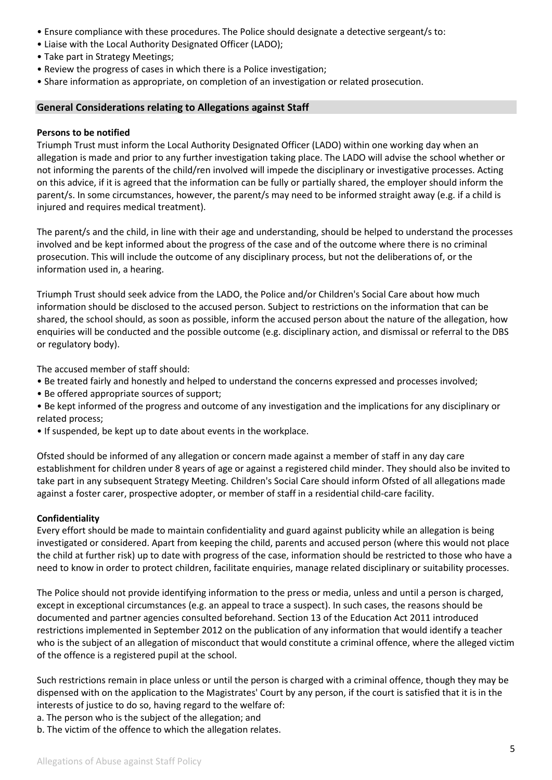- Ensure compliance with these procedures. The Police should designate a detective sergeant/s to:
- Liaise with the Local Authority Designated Officer (LADO);
- Take part in Strategy Meetings;
- Review the progress of cases in which there is a Police investigation;
- Share information as appropriate, on completion of an investigation or related prosecution.

## **General Considerations relating to Allegations against Staff**

### **Persons to be notified**

Triumph Trust must inform the Local Authority Designated Officer (LADO) within one working day when an allegation is made and prior to any further investigation taking place. The LADO will advise the school whether or not informing the parents of the child/ren involved will impede the disciplinary or investigative processes. Acting on this advice, if it is agreed that the information can be fully or partially shared, the employer should inform the parent/s. In some circumstances, however, the parent/s may need to be informed straight away (e.g. if a child is injured and requires medical treatment).

The parent/s and the child, in line with their age and understanding, should be helped to understand the processes involved and be kept informed about the progress of the case and of the outcome where there is no criminal prosecution. This will include the outcome of any disciplinary process, but not the deliberations of, or the information used in, a hearing.

Triumph Trust should seek advice from the LADO, the Police and/or Children's Social Care about how much information should be disclosed to the accused person. Subject to restrictions on the information that can be shared, the school should, as soon as possible, inform the accused person about the nature of the allegation, how enquiries will be conducted and the possible outcome (e.g. disciplinary action, and dismissal or referral to the DBS or regulatory body).

The accused member of staff should:

- Be treated fairly and honestly and helped to understand the concerns expressed and processes involved;
- Be offered appropriate sources of support;
- Be kept informed of the progress and outcome of any investigation and the implications for any disciplinary or related process;
- If suspended, be kept up to date about events in the workplace.

Ofsted should be informed of any allegation or concern made against a member of staff in any day care establishment for children under 8 years of age or against a registered child minder. They should also be invited to take part in any subsequent Strategy Meeting. Children's Social Care should inform Ofsted of all allegations made against a foster carer, prospective adopter, or member of staff in a residential child-care facility.

### **Confidentiality**

Every effort should be made to maintain confidentiality and guard against publicity while an allegation is being investigated or considered. Apart from keeping the child, parents and accused person (where this would not place the child at further risk) up to date with progress of the case, information should be restricted to those who have a need to know in order to protect children, facilitate enquiries, manage related disciplinary or suitability processes.

The Police should not provide identifying information to the press or media, unless and until a person is charged, except in exceptional circumstances (e.g. an appeal to trace a suspect). In such cases, the reasons should be documented and partner agencies consulted beforehand. Section 13 of the Education Act 2011 introduced restrictions implemented in September 2012 on the publication of any information that would identify a teacher who is the subject of an allegation of misconduct that would constitute a criminal offence, where the alleged victim of the offence is a registered pupil at the school.

Such restrictions remain in place unless or until the person is charged with a criminal offence, though they may be dispensed with on the application to the Magistrates' Court by any person, if the court is satisfied that it is in the interests of justice to do so, having regard to the welfare of:

a. The person who is the subject of the allegation; and

b. The victim of the offence to which the allegation relates.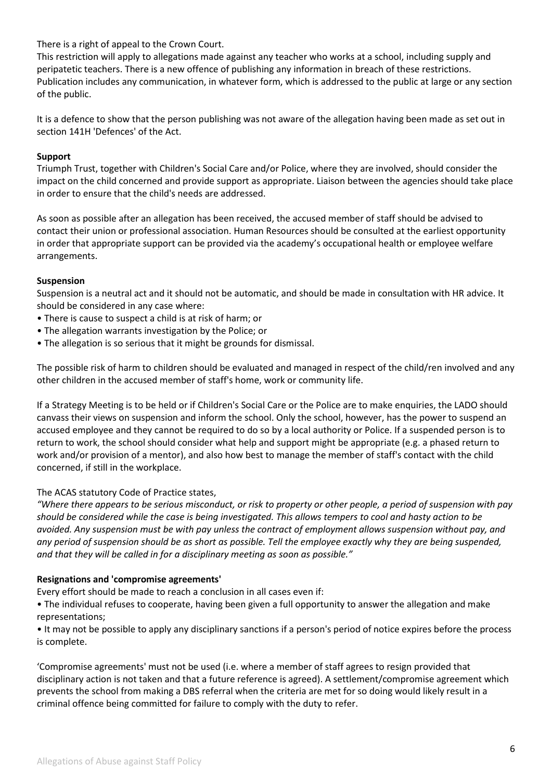There is a right of appeal to the Crown Court.

This restriction will apply to allegations made against any teacher who works at a school, including supply and peripatetic teachers. There is a new offence of publishing any information in breach of these restrictions. Publication includes any communication, in whatever form, which is addressed to the public at large or any section of the public.

It is a defence to show that the person publishing was not aware of the allegation having been made as set out in section 141H 'Defences' of the Act.

## **Support**

Triumph Trust, together with Children's Social Care and/or Police, where they are involved, should consider the impact on the child concerned and provide support as appropriate. Liaison between the agencies should take place in order to ensure that the child's needs are addressed.

As soon as possible after an allegation has been received, the accused member of staff should be advised to contact their union or professional association. Human Resources should be consulted at the earliest opportunity in order that appropriate support can be provided via the academy's occupational health or employee welfare arrangements.

## **Suspension**

Suspension is a neutral act and it should not be automatic, and should be made in consultation with HR advice. It should be considered in any case where:

- There is cause to suspect a child is at risk of harm; or
- The allegation warrants investigation by the Police; or
- The allegation is so serious that it might be grounds for dismissal.

The possible risk of harm to children should be evaluated and managed in respect of the child/ren involved and any other children in the accused member of staff's home, work or community life.

If a Strategy Meeting is to be held or if Children's Social Care or the Police are to make enquiries, the LADO should canvass their views on suspension and inform the school. Only the school, however, has the power to suspend an accused employee and they cannot be required to do so by a local authority or Police. If a suspended person is to return to work, the school should consider what help and support might be appropriate (e.g. a phased return to work and/or provision of a mentor), and also how best to manage the member of staff's contact with the child concerned, if still in the workplace.

## The ACAS statutory Code of Practice states,

*"Where there appears to be serious misconduct, or risk to property or other people, a period of suspension with pay should be considered while the case is being investigated. This allows tempers to cool and hasty action to be avoided. Any suspension must be with pay unless the contract of employment allows suspension without pay, and any period of suspension should be as short as possible. Tell the employee exactly why they are being suspended, and that they will be called in for a disciplinary meeting as soon as possible."* 

### **Resignations and 'compromise agreements'**

Every effort should be made to reach a conclusion in all cases even if:

• The individual refuses to cooperate, having been given a full opportunity to answer the allegation and make representations;

• It may not be possible to apply any disciplinary sanctions if a person's period of notice expires before the process is complete.

'Compromise agreements' must not be used (i.e. where a member of staff agrees to resign provided that disciplinary action is not taken and that a future reference is agreed). A settlement/compromise agreement which prevents the school from making a DBS referral when the criteria are met for so doing would likely result in a criminal offence being committed for failure to comply with the duty to refer.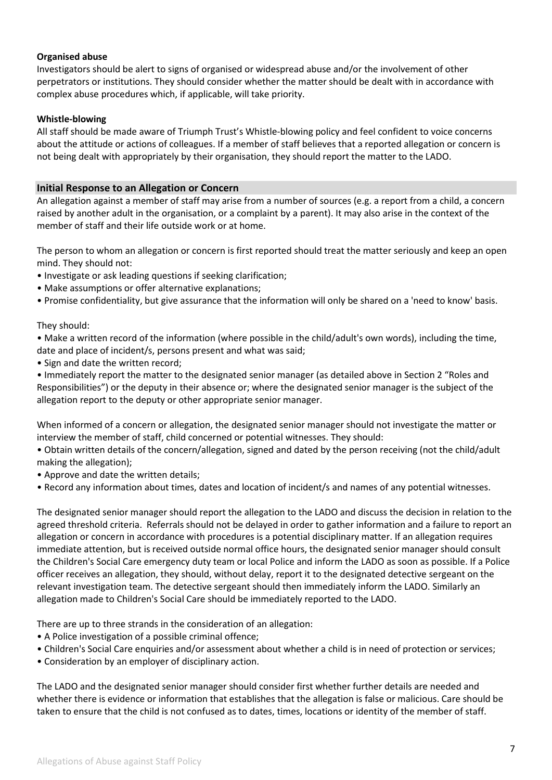### **Organised abuse**

Investigators should be alert to signs of organised or widespread abuse and/or the involvement of other perpetrators or institutions. They should consider whether the matter should be dealt with in accordance with complex abuse procedures which, if applicable, will take priority.

### **Whistle-blowing**

All staff should be made aware of Triumph Trust's Whistle-blowing policy and feel confident to voice concerns about the attitude or actions of colleagues. If a member of staff believes that a reported allegation or concern is not being dealt with appropriately by their organisation, they should report the matter to the LADO.

## **Initial Response to an Allegation or Concern**

An allegation against a member of staff may arise from a number of sources (e.g. a report from a child, a concern raised by another adult in the organisation, or a complaint by a parent). It may also arise in the context of the member of staff and their life outside work or at home.

The person to whom an allegation or concern is first reported should treat the matter seriously and keep an open mind. They should not:

- Investigate or ask leading questions if seeking clarification;
- Make assumptions or offer alternative explanations;
- Promise confidentiality, but give assurance that the information will only be shared on a 'need to know' basis.

They should:

• Make a written record of the information (where possible in the child/adult's own words), including the time, date and place of incident/s, persons present and what was said;

• Sign and date the written record;

• Immediately report the matter to the designated senior manager (as detailed above in Section 2 "Roles and Responsibilities") or the deputy in their absence or; where the designated senior manager is the subject of the allegation report to the deputy or other appropriate senior manager.

When informed of a concern or allegation, the designated senior manager should not investigate the matter or interview the member of staff, child concerned or potential witnesses. They should:

• Obtain written details of the concern/allegation, signed and dated by the person receiving (not the child/adult making the allegation);

- Approve and date the written details;
- Record any information about times, dates and location of incident/s and names of any potential witnesses.

The designated senior manager should report the allegation to the LADO and discuss the decision in relation to the agreed threshold criteria. Referrals should not be delayed in order to gather information and a failure to report an allegation or concern in accordance with procedures is a potential disciplinary matter. If an allegation requires immediate attention, but is received outside normal office hours, the designated senior manager should consult the Children's Social Care emergency duty team or local Police and inform the LADO as soon as possible. If a Police officer receives an allegation, they should, without delay, report it to the designated detective sergeant on the relevant investigation team. The detective sergeant should then immediately inform the LADO. Similarly an allegation made to Children's Social Care should be immediately reported to the LADO.

There are up to three strands in the consideration of an allegation:

- A Police investigation of a possible criminal offence;
- Children's Social Care enquiries and/or assessment about whether a child is in need of protection or services;
- Consideration by an employer of disciplinary action.

The LADO and the designated senior manager should consider first whether further details are needed and whether there is evidence or information that establishes that the allegation is false or malicious. Care should be taken to ensure that the child is not confused as to dates, times, locations or identity of the member of staff.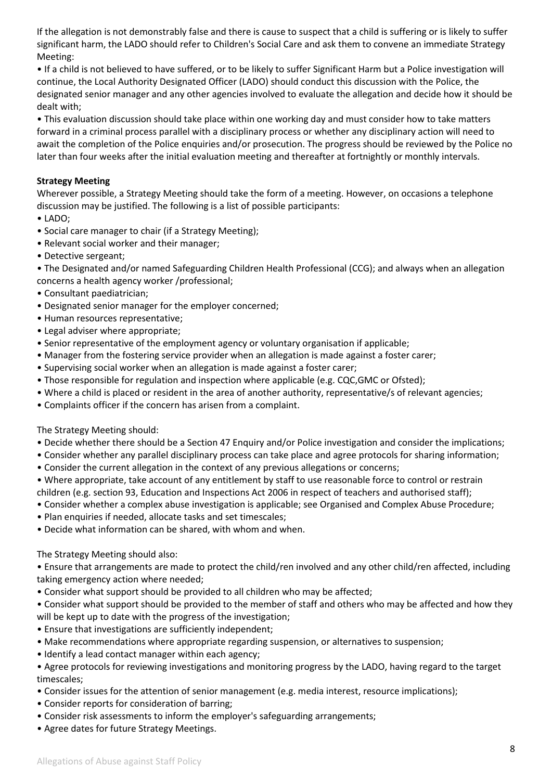If the allegation is not demonstrably false and there is cause to suspect that a child is suffering or is likely to suffer significant harm, the LADO should refer to Children's Social Care and ask them to convene an immediate Strategy Meeting:

• If a child is not believed to have suffered, or to be likely to suffer Significant Harm but a Police investigation will continue, the Local Authority Designated Officer (LADO) should conduct this discussion with the Police, the designated senior manager and any other agencies involved to evaluate the allegation and decide how it should be dealt with;

• This evaluation discussion should take place within one working day and must consider how to take matters forward in a criminal process parallel with a disciplinary process or whether any disciplinary action will need to await the completion of the Police enquiries and/or prosecution. The progress should be reviewed by the Police no later than four weeks after the initial evaluation meeting and thereafter at fortnightly or monthly intervals.

## **Strategy Meeting**

Wherever possible, a Strategy Meeting should take the form of a meeting. However, on occasions a telephone discussion may be justified. The following is a list of possible participants:

- LADO;
- Social care manager to chair (if a Strategy Meeting);
- Relevant social worker and their manager;
- Detective sergeant;

• The Designated and/or named Safeguarding Children Health Professional (CCG); and always when an allegation concerns a health agency worker /professional;

- Consultant paediatrician;
- Designated senior manager for the employer concerned;
- Human resources representative;
- Legal adviser where appropriate;
- Senior representative of the employment agency or voluntary organisation if applicable;
- Manager from the fostering service provider when an allegation is made against a foster carer;
- Supervising social worker when an allegation is made against a foster carer;
- Those responsible for regulation and inspection where applicable (e.g. CQC,GMC or Ofsted);
- Where a child is placed or resident in the area of another authority, representative/s of relevant agencies;
- Complaints officer if the concern has arisen from a complaint.

The Strategy Meeting should:

- Decide whether there should be a Section 47 Enquiry and/or Police investigation and consider the implications;
- Consider whether any parallel disciplinary process can take place and agree protocols for sharing information;
- Consider the current allegation in the context of any previous allegations or concerns;
- Where appropriate, take account of any entitlement by staff to use reasonable force to control or restrain children (e.g. section 93, Education and Inspections Act 2006 in respect of teachers and authorised staff);
- Consider whether a complex abuse investigation is applicable; see Organised and Complex Abuse Procedure;
- Plan enquiries if needed, allocate tasks and set timescales;
- Decide what information can be shared, with whom and when.

The Strategy Meeting should also:

• Ensure that arrangements are made to protect the child/ren involved and any other child/ren affected, including taking emergency action where needed;

• Consider what support should be provided to all children who may be affected;

• Consider what support should be provided to the member of staff and others who may be affected and how they will be kept up to date with the progress of the investigation;

- Ensure that investigations are sufficiently independent;
- Make recommendations where appropriate regarding suspension, or alternatives to suspension;
- Identify a lead contact manager within each agency;

• Agree protocols for reviewing investigations and monitoring progress by the LADO, having regard to the target timescales;

- Consider issues for the attention of senior management (e.g. media interest, resource implications);
- Consider reports for consideration of barring;
- Consider risk assessments to inform the employer's safeguarding arrangements;
- Agree dates for future Strategy Meetings.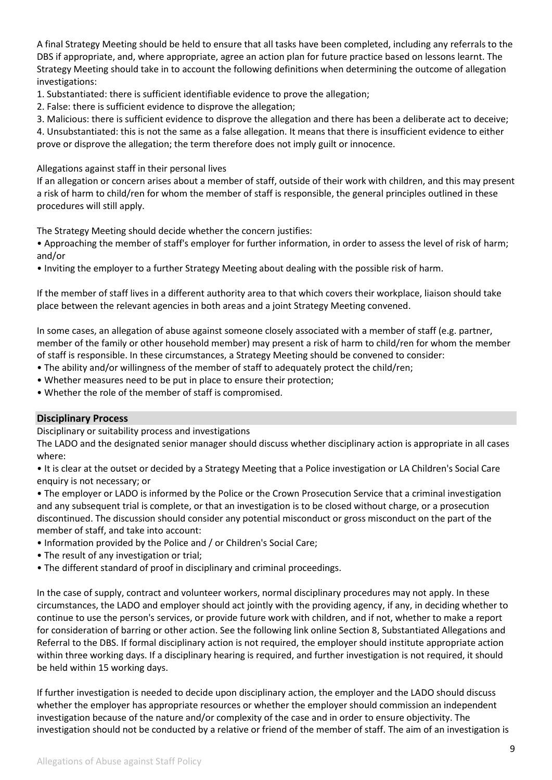A final Strategy Meeting should be held to ensure that all tasks have been completed, including any referrals to the DBS if appropriate, and, where appropriate, agree an action plan for future practice based on lessons learnt. The Strategy Meeting should take in to account the following definitions when determining the outcome of allegation investigations:

1. Substantiated: there is sufficient identifiable evidence to prove the allegation;

2. False: there is sufficient evidence to disprove the allegation;

3. Malicious: there is sufficient evidence to disprove the allegation and there has been a deliberate act to deceive; 4. Unsubstantiated: this is not the same as a false allegation. It means that there is insufficient evidence to either prove or disprove the allegation; the term therefore does not imply guilt or innocence.

Allegations against staff in their personal lives

If an allegation or concern arises about a member of staff, outside of their work with children, and this may present a risk of harm to child/ren for whom the member of staff is responsible, the general principles outlined in these procedures will still apply.

The Strategy Meeting should decide whether the concern justifies:

• Approaching the member of staff's employer for further information, in order to assess the level of risk of harm; and/or

• Inviting the employer to a further Strategy Meeting about dealing with the possible risk of harm.

If the member of staff lives in a different authority area to that which covers their workplace, liaison should take place between the relevant agencies in both areas and a joint Strategy Meeting convened.

In some cases, an allegation of abuse against someone closely associated with a member of staff (e.g. partner, member of the family or other household member) may present a risk of harm to child/ren for whom the member of staff is responsible. In these circumstances, a Strategy Meeting should be convened to consider:

- The ability and/or willingness of the member of staff to adequately protect the child/ren;
- Whether measures need to be put in place to ensure their protection;
- Whether the role of the member of staff is compromised.

### **Disciplinary Process**

Disciplinary or suitability process and investigations

The LADO and the designated senior manager should discuss whether disciplinary action is appropriate in all cases where:

• It is clear at the outset or decided by a Strategy Meeting that a Police investigation or LA Children's Social Care enquiry is not necessary; or

• The employer or LADO is informed by the Police or the Crown Prosecution Service that a criminal investigation and any subsequent trial is complete, or that an investigation is to be closed without charge, or a prosecution discontinued. The discussion should consider any potential misconduct or gross misconduct on the part of the member of staff, and take into account:

- Information provided by the Police and / or Children's Social Care;
- The result of any investigation or trial;
- The different standard of proof in disciplinary and criminal proceedings.

In the case of supply, contract and volunteer workers, normal disciplinary procedures may not apply. In these circumstances, the LADO and employer should act jointly with the providing agency, if any, in deciding whether to continue to use the person's services, or provide future work with children, and if not, whether to make a report for consideration of barring or other action. See the following link online Section 8, Substantiated Allegations and Referral to the DBS. If formal disciplinary action is not required, the employer should institute appropriate action within three working days. If a disciplinary hearing is required, and further investigation is not required, it should be held within 15 working days.

If further investigation is needed to decide upon disciplinary action, the employer and the LADO should discuss whether the employer has appropriate resources or whether the employer should commission an independent investigation because of the nature and/or complexity of the case and in order to ensure objectivity. The investigation should not be conducted by a relative or friend of the member of staff. The aim of an investigation is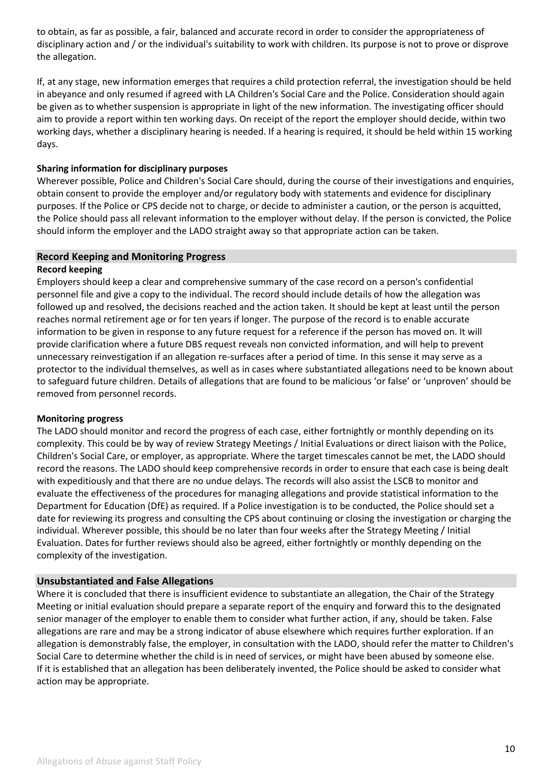to obtain, as far as possible, a fair, balanced and accurate record in order to consider the appropriateness of disciplinary action and / or the individual's suitability to work with children. Its purpose is not to prove or disprove the allegation.

If, at any stage, new information emerges that requires a child protection referral, the investigation should be held in abeyance and only resumed if agreed with LA Children's Social Care and the Police. Consideration should again be given as to whether suspension is appropriate in light of the new information. The investigating officer should aim to provide a report within ten working days. On receipt of the report the employer should decide, within two working days, whether a disciplinary hearing is needed. If a hearing is required, it should be held within 15 working days.

## **Sharing information for disciplinary purposes**

Wherever possible, Police and Children's Social Care should, during the course of their investigations and enquiries, obtain consent to provide the employer and/or regulatory body with statements and evidence for disciplinary purposes. If the Police or CPS decide not to charge, or decide to administer a caution, or the person is acquitted, the Police should pass all relevant information to the employer without delay. If the person is convicted, the Police should inform the employer and the LADO straight away so that appropriate action can be taken.

### **Record Keeping and Monitoring Progress**

### **Record keeping**

Employers should keep a clear and comprehensive summary of the case record on a person's confidential personnel file and give a copy to the individual. The record should include details of how the allegation was followed up and resolved, the decisions reached and the action taken. It should be kept at least until the person reaches normal retirement age or for ten years if longer. The purpose of the record is to enable accurate information to be given in response to any future request for a reference if the person has moved on. It will provide clarification where a future DBS request reveals non convicted information, and will help to prevent unnecessary reinvestigation if an allegation re-surfaces after a period of time. In this sense it may serve as a protector to the individual themselves, as well as in cases where substantiated allegations need to be known about to safeguard future children. Details of allegations that are found to be malicious 'or false' or 'unproven' should be removed from personnel records.

### **Monitoring progress**

The LADO should monitor and record the progress of each case, either fortnightly or monthly depending on its complexity. This could be by way of review Strategy Meetings / Initial Evaluations or direct liaison with the Police, Children's Social Care, or employer, as appropriate. Where the target timescales cannot be met, the LADO should record the reasons. The LADO should keep comprehensive records in order to ensure that each case is being dealt with expeditiously and that there are no undue delays. The records will also assist the LSCB to monitor and evaluate the effectiveness of the procedures for managing allegations and provide statistical information to the Department for Education (DfE) as required. If a Police investigation is to be conducted, the Police should set a date for reviewing its progress and consulting the CPS about continuing or closing the investigation or charging the individual. Wherever possible, this should be no later than four weeks after the Strategy Meeting / Initial Evaluation. Dates for further reviews should also be agreed, either fortnightly or monthly depending on the complexity of the investigation.

## **Unsubstantiated and False Allegations**

Where it is concluded that there is insufficient evidence to substantiate an allegation, the Chair of the Strategy Meeting or initial evaluation should prepare a separate report of the enquiry and forward this to the designated senior manager of the employer to enable them to consider what further action, if any, should be taken. False allegations are rare and may be a strong indicator of abuse elsewhere which requires further exploration. If an allegation is demonstrably false, the employer, in consultation with the LADO, should refer the matter to Children's Social Care to determine whether the child is in need of services, or might have been abused by someone else. If it is established that an allegation has been deliberately invented, the Police should be asked to consider what action may be appropriate.